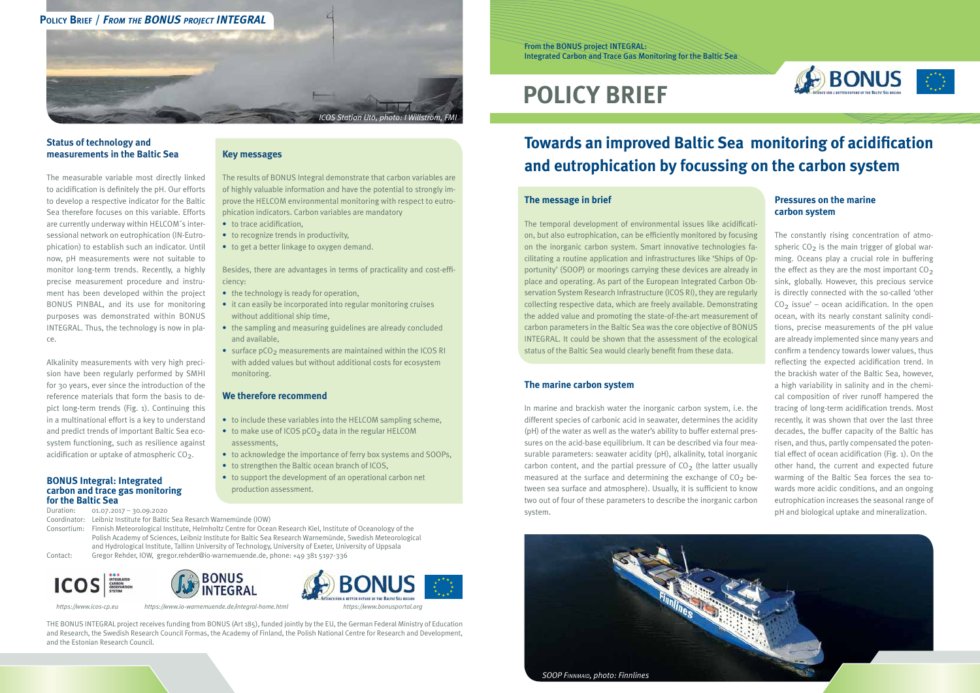#### **The message in brief**

The temporal development of environmental issues like acidification, but also eutrophication, can be efficiently monitored by focusing on the inorganic carbon system. Smart innovative technologies facilitating a routine application and infrastructures like 'Ships of Opportunity' (SOOP) or moorings carrying these devices are already in place and operating. As part of the European Integrated Carbon Observation System Research Infrastructure (ICOS RI), they are regularly collecting respective data, which are freely available. Demonstrating the added value and promoting the state-of-the-art measurement of carbon parameters in the Baltic Sea was the core objective of BONUS INTEGRAL. It could be shown that the assessment of the ecological status of the Baltic Sea would clearly benefit from these data.

## **Towards an improved Baltic Sea monitoring of acidification and eutrophication by focussing on the carbon system**

#### **The marine carbon system**

- to trace acidification.
- to recognize trends in productivity,
- to get a better linkage to oxygen demand.

Besides, there are advantages in terms of practicality and cost-efficiency:

> In marine and brackish water the inorganic carbon system, i.e. the different species of carbonic acid in seawater, determines the acidity (pH) of the water as well as the water's ability to buffer external pressures on the acid-base equilibrium. It can be described via four measurable parameters: seawater acidity (pH), alkalinity, total inorganic carbon content, and the partial pressure of  $CO<sub>2</sub>$  (the latter usually measured at the surface and determining the exchange of  $CO<sub>2</sub>$  between sea surface and atmosphere). Usually, it is sufficient to know two out of four of these parameters to describe the inorganic carbon system.

- the technology is ready for operation,
- it can easily be incorporated into regular monitoring cruises without additional ship time,
- the sampling and measuring guidelines are already concluded and available,
- surface  $pCO<sub>2</sub>$  measurements are maintained within the ICOS RI with added values but without additional costs for ecosystem monitoring.

# **POLICY BRIEF**

From the BONUS project INTEGRAL: Integrated Carbon and Trace Gas Monitoring for the Baltic Sea

#### **Key messages**

Alkalinity measurements with very high precision have been regularly performed by SMHI for 30 years, ever since the introduction of the reference materials that form the basis to depict long-term trends (Fig. 1). Continuing this in a multinational effort is a key to understand and predict trends of important Baltic Sea ecosystem functioning, such as resilience against acidification or uptake of atmospheric  $CO<sub>2</sub>$ .

The results of BONUS Integral demonstrate that carbon variables are of highly valuable information and have the potential to strongly improve the HELCOM environmental monitoring with respect to eutrophication indicators. Carbon variables are mandatory

#### **We therefore recommend**

- to include these variables into the HELCOM sampling scheme,
- $\bullet$  to make use of ICOS pCO<sub>2</sub> data in the regular HELCOM assessments,
- to acknowledge the importance of ferry box systems and SOOPs,
- to strengthen the Baltic ocean branch of ICOS,
- to support the development of an operational carbon net production assessment.

#### **Status of technology and measurements in the Baltic Sea**

The measurable variable most directly linked to acidification is definitely the pH. Our efforts to develop a respective indicator for the Baltic Sea therefore focuses on this variable. Efforts are currently underway within HELCOM´s intersessional network on eutrophication (IN-Eutrophication) to establish such an indicator. Until now, pH measurements were not suitable to monitor long-term trends. Recently, a highly precise measurement procedure and instrument has been developed within the project BONUS PINBAL, and its use for monitoring purposes was demonstrated within BONUS INTEGRAL. Thus, the technology is now in place.



#### **Pressures on the marine carbon system**

The constantly rising concentration of atmospheric  $CO<sub>2</sub>$  is the main trigger of global warming. Oceans play a crucial role in buffering the effect as they are the most important  $CO<sub>2</sub>$ sink, globally. However, this precious service is directly connected with the so-called 'other  $CO<sub>2</sub>$  issue' – ocean acidification. In the open ocean, with its nearly constant salinity conditions, precise measurements of the pH value are already implemented since many years and confirm a tendency towards lower values, thus reflecting the expected acidification trend. In the brackish water of the Baltic Sea, however, a high variability in salinity and in the chemical composition of river runoff hampered the tracing of long-term acidification trends. Most recently, it was shown that over the last three decades, the buffer capacity of the Baltic has risen, and thus, partly compensated the potential effect of ocean acidification (Fig. 1). On the other hand, the current and expected future warming of the Baltic Sea forces the sea towards more acidic conditions, and an ongoing eutrophication increases the seasonal range of pH and biological uptake and mineralization.

#### **BONUS Integral: Integrated carbon and trace gas monitoring for the Baltic Sea**

Duration: 01.07.2017 – 30.09.2020

Coordinator: Leibniz Institute for Baltic Sea Resarch Warnemünde (IOW)

Consortium: Finnish Meteorological Institute, Helmholtz Centre for Ocean Research Kiel, Institute of Oceanology of the Polish Academy of Sciences, Leibniz Institute for Baltic Sea Research Warnemünde, Swedish Meteorological and Hydrological Institute, Tallinn University of Technology, University of Exeter, University of Uppsala Contact: Gregor Rehder, IOW, gregor.rehder@io-warnemuende.de, phone: +49 381 5197-336





THE BONUS INTEGRAL project receives funding from BONUS (Art 185), funded jointly by the EU, the German Federal Ministry of Education and Research, the Swedish Research Council Formas, the Academy of Finland, the Polish National Centre for Research and Development, and the Estonian Research Council.







 *https://www.icos-cp.eu https://www.io-warnemuende.de/integral-home.html https://www.bonusportal.org*